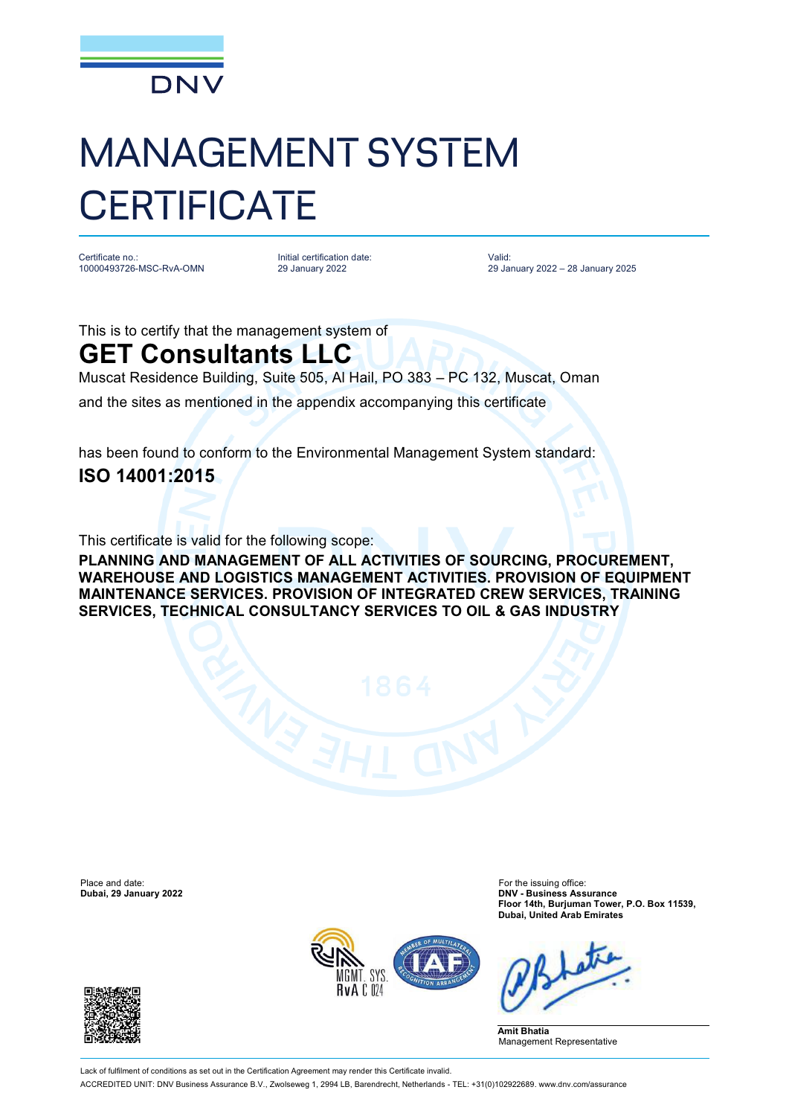

## MANAGEMENT SYSTEM **CERTIFICATE**

Certificate no.: 10000493726-MSC-RvA-OMN Initial certification date: 29 January 2022

Valid: 29 January 2022 – 28 January 2025

This is to certify that the management system of

## **GET Consultants LLC**

Muscat Residence Building, Suite 505, Al Hail, PO 383 – PC 132, Muscat, Oman

and the sites as mentioned in the appendix accompanying this certificate

has been found to conform to the Environmental Management System standard: **ISO 14001:2015**

This certificate is valid for the following scope:

**PLANNING AND MANAGEMENT OF ALL ACTIVITIES OF SOURCING, PROCUREMENT, WAREHOUSE AND LOGISTICS MANAGEMENT ACTIVITIES. PROVISION OF EQUIPMENT MAINTENANCE SERVICES. PROVISION OF INTEGRATED CREW SERVICES, TRAINING SERVICES, TECHNICAL CONSULTANCY SERVICES TO OIL & GAS INDUSTRY**

Place and date: The issuing office:<br> **Place and date:** For the issuing office:<br> **Dubai, 29 January 2022**<br> **DNV - Business Ass** 

**Dubai, 29 January 2022 DNV - Business Assurance Floor 14th, Burjuman Tower, P.O. Box 11539, Dubai, United Arab Emirates**



**Amit Bhatia** Management Representative

Lack of fulfilment of conditions as set out in the Certification Agreement may render this Certificate invalid. ACCREDITED UNIT: DNV Business Assurance B.V., Zwolseweg 1, 2994 LB, Barendrecht, Netherlands - TEL: +31(0)102922689. [www.dnv.com/assurance](http://www.dnv.com/assurance)